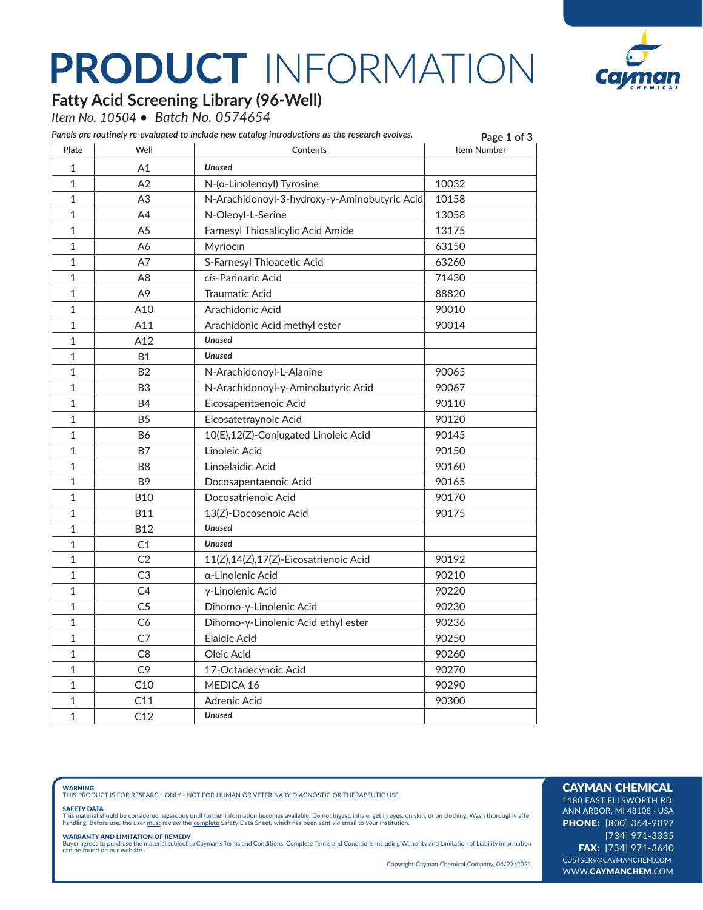# **PRODUCT** INFORMATION



### **Fatty Acid Screening Library (96-Well)**

*Item No. 10504 • Batch No. 0574654*

| Plate<br>Well<br>Contents<br><b>Unused</b><br>1<br>A1<br>1<br>A2<br>10032<br>$N-(\alpha$ -Linolenoyl) Tyrosine<br>1<br>A <sub>3</sub><br>N-Arachidonoyl-3-hydroxy-γ-Aminobutyric Acid<br>10158<br>1<br>N-Oleoyl-L-Serine<br>13058<br>A4<br>$\mathbf{1}$<br>A <sub>5</sub><br>Farnesyl Thiosalicylic Acid Amide<br>13175<br>1<br>63150<br>Α6<br>Myriocin<br>1<br>A7<br>S-Farnesyl Thioacetic Acid<br>63260<br>$\mathbf{1}$<br>cis-Parinaric Acid<br>71430<br>A8<br>1<br>Α9<br><b>Traumatic Acid</b><br>88820<br>$\mathbf{1}$<br>A10<br>Arachidonic Acid<br>90010<br>$\mathbf{1}$<br>A11<br>Arachidonic Acid methyl ester<br>90014<br>$\mathbf{1}$<br>A12<br><b>Unused</b><br>$\mathbf{1}$<br><b>Unused</b><br><b>B1</b><br>$\mathbf{1}$<br><b>B2</b><br>N-Arachidonoyl-L-Alanine<br>90065<br>$\mathbf{1}$<br>B <sub>3</sub><br>N-Arachidonoyl-γ-Aminobutyric Acid<br>90067<br>$\mathbf{1}$<br><b>B4</b><br>Eicosapentaenoic Acid<br>90110<br>$\mathbf{1}$<br><b>B5</b><br>Eicosatetraynoic Acid<br>90120<br>$\mathbf{1}$<br><b>B6</b><br>10(E),12(Z)-Conjugated Linoleic Acid<br>90145<br>$\mathbf{1}$<br>Linoleic Acid<br><b>B7</b><br>90150<br>$\mathbf{1}$<br>Linoelaidic Acid<br>90160<br>B <sub>8</sub><br>B <sub>9</sub><br>1<br>90165<br>Docosapentaenoic Acid<br>1<br><b>B10</b><br>Docosatrienoic Acid<br>90170 | <b>Item Number</b> |
|-------------------------------------------------------------------------------------------------------------------------------------------------------------------------------------------------------------------------------------------------------------------------------------------------------------------------------------------------------------------------------------------------------------------------------------------------------------------------------------------------------------------------------------------------------------------------------------------------------------------------------------------------------------------------------------------------------------------------------------------------------------------------------------------------------------------------------------------------------------------------------------------------------------------------------------------------------------------------------------------------------------------------------------------------------------------------------------------------------------------------------------------------------------------------------------------------------------------------------------------------------------------------------------------------------------------------|--------------------|
|                                                                                                                                                                                                                                                                                                                                                                                                                                                                                                                                                                                                                                                                                                                                                                                                                                                                                                                                                                                                                                                                                                                                                                                                                                                                                                                         |                    |
|                                                                                                                                                                                                                                                                                                                                                                                                                                                                                                                                                                                                                                                                                                                                                                                                                                                                                                                                                                                                                                                                                                                                                                                                                                                                                                                         |                    |
|                                                                                                                                                                                                                                                                                                                                                                                                                                                                                                                                                                                                                                                                                                                                                                                                                                                                                                                                                                                                                                                                                                                                                                                                                                                                                                                         |                    |
|                                                                                                                                                                                                                                                                                                                                                                                                                                                                                                                                                                                                                                                                                                                                                                                                                                                                                                                                                                                                                                                                                                                                                                                                                                                                                                                         |                    |
|                                                                                                                                                                                                                                                                                                                                                                                                                                                                                                                                                                                                                                                                                                                                                                                                                                                                                                                                                                                                                                                                                                                                                                                                                                                                                                                         |                    |
|                                                                                                                                                                                                                                                                                                                                                                                                                                                                                                                                                                                                                                                                                                                                                                                                                                                                                                                                                                                                                                                                                                                                                                                                                                                                                                                         |                    |
|                                                                                                                                                                                                                                                                                                                                                                                                                                                                                                                                                                                                                                                                                                                                                                                                                                                                                                                                                                                                                                                                                                                                                                                                                                                                                                                         |                    |
|                                                                                                                                                                                                                                                                                                                                                                                                                                                                                                                                                                                                                                                                                                                                                                                                                                                                                                                                                                                                                                                                                                                                                                                                                                                                                                                         |                    |
|                                                                                                                                                                                                                                                                                                                                                                                                                                                                                                                                                                                                                                                                                                                                                                                                                                                                                                                                                                                                                                                                                                                                                                                                                                                                                                                         |                    |
|                                                                                                                                                                                                                                                                                                                                                                                                                                                                                                                                                                                                                                                                                                                                                                                                                                                                                                                                                                                                                                                                                                                                                                                                                                                                                                                         |                    |
|                                                                                                                                                                                                                                                                                                                                                                                                                                                                                                                                                                                                                                                                                                                                                                                                                                                                                                                                                                                                                                                                                                                                                                                                                                                                                                                         |                    |
|                                                                                                                                                                                                                                                                                                                                                                                                                                                                                                                                                                                                                                                                                                                                                                                                                                                                                                                                                                                                                                                                                                                                                                                                                                                                                                                         |                    |
|                                                                                                                                                                                                                                                                                                                                                                                                                                                                                                                                                                                                                                                                                                                                                                                                                                                                                                                                                                                                                                                                                                                                                                                                                                                                                                                         |                    |
|                                                                                                                                                                                                                                                                                                                                                                                                                                                                                                                                                                                                                                                                                                                                                                                                                                                                                                                                                                                                                                                                                                                                                                                                                                                                                                                         |                    |
|                                                                                                                                                                                                                                                                                                                                                                                                                                                                                                                                                                                                                                                                                                                                                                                                                                                                                                                                                                                                                                                                                                                                                                                                                                                                                                                         |                    |
|                                                                                                                                                                                                                                                                                                                                                                                                                                                                                                                                                                                                                                                                                                                                                                                                                                                                                                                                                                                                                                                                                                                                                                                                                                                                                                                         |                    |
|                                                                                                                                                                                                                                                                                                                                                                                                                                                                                                                                                                                                                                                                                                                                                                                                                                                                                                                                                                                                                                                                                                                                                                                                                                                                                                                         |                    |
|                                                                                                                                                                                                                                                                                                                                                                                                                                                                                                                                                                                                                                                                                                                                                                                                                                                                                                                                                                                                                                                                                                                                                                                                                                                                                                                         |                    |
|                                                                                                                                                                                                                                                                                                                                                                                                                                                                                                                                                                                                                                                                                                                                                                                                                                                                                                                                                                                                                                                                                                                                                                                                                                                                                                                         |                    |
|                                                                                                                                                                                                                                                                                                                                                                                                                                                                                                                                                                                                                                                                                                                                                                                                                                                                                                                                                                                                                                                                                                                                                                                                                                                                                                                         |                    |
|                                                                                                                                                                                                                                                                                                                                                                                                                                                                                                                                                                                                                                                                                                                                                                                                                                                                                                                                                                                                                                                                                                                                                                                                                                                                                                                         |                    |
|                                                                                                                                                                                                                                                                                                                                                                                                                                                                                                                                                                                                                                                                                                                                                                                                                                                                                                                                                                                                                                                                                                                                                                                                                                                                                                                         |                    |
|                                                                                                                                                                                                                                                                                                                                                                                                                                                                                                                                                                                                                                                                                                                                                                                                                                                                                                                                                                                                                                                                                                                                                                                                                                                                                                                         |                    |
| $\mathbf{1}$<br><b>B11</b><br>90175<br>13(Z)-Docosenoic Acid                                                                                                                                                                                                                                                                                                                                                                                                                                                                                                                                                                                                                                                                                                                                                                                                                                                                                                                                                                                                                                                                                                                                                                                                                                                            |                    |
| <b>Unused</b><br>1<br><b>B12</b>                                                                                                                                                                                                                                                                                                                                                                                                                                                                                                                                                                                                                                                                                                                                                                                                                                                                                                                                                                                                                                                                                                                                                                                                                                                                                        |                    |
| $\mathbf{1}$<br>C1<br><b>Unused</b>                                                                                                                                                                                                                                                                                                                                                                                                                                                                                                                                                                                                                                                                                                                                                                                                                                                                                                                                                                                                                                                                                                                                                                                                                                                                                     |                    |
| 1<br>C <sub>2</sub><br>11(Z),14(Z),17(Z)-Eicosatrienoic Acid<br>90192                                                                                                                                                                                                                                                                                                                                                                                                                                                                                                                                                                                                                                                                                                                                                                                                                                                                                                                                                                                                                                                                                                                                                                                                                                                   |                    |
| $\mathbf{1}$<br>C <sub>3</sub><br>90210<br>a-Linolenic Acid                                                                                                                                                                                                                                                                                                                                                                                                                                                                                                                                                                                                                                                                                                                                                                                                                                                                                                                                                                                                                                                                                                                                                                                                                                                             |                    |
| C <sub>4</sub><br>90220<br>1<br>γ-Linolenic Acid                                                                                                                                                                                                                                                                                                                                                                                                                                                                                                                                                                                                                                                                                                                                                                                                                                                                                                                                                                                                                                                                                                                                                                                                                                                                        |                    |
| C <sub>5</sub><br>1<br>Dihomo-y-Linolenic Acid<br>90230                                                                                                                                                                                                                                                                                                                                                                                                                                                                                                                                                                                                                                                                                                                                                                                                                                                                                                                                                                                                                                                                                                                                                                                                                                                                 |                    |
| 1<br>C6<br>Dihomo-y-Linolenic Acid ethyl ester<br>90236                                                                                                                                                                                                                                                                                                                                                                                                                                                                                                                                                                                                                                                                                                                                                                                                                                                                                                                                                                                                                                                                                                                                                                                                                                                                 |                    |
| C7<br>1<br>Elaidic Acid<br>90250                                                                                                                                                                                                                                                                                                                                                                                                                                                                                                                                                                                                                                                                                                                                                                                                                                                                                                                                                                                                                                                                                                                                                                                                                                                                                        |                    |
| 1<br>C <sub>8</sub><br>Oleic Acid<br>90260                                                                                                                                                                                                                                                                                                                                                                                                                                                                                                                                                                                                                                                                                                                                                                                                                                                                                                                                                                                                                                                                                                                                                                                                                                                                              |                    |
| $\mathbf{1}$<br>C <sub>9</sub><br>17-Octadecynoic Acid<br>90270                                                                                                                                                                                                                                                                                                                                                                                                                                                                                                                                                                                                                                                                                                                                                                                                                                                                                                                                                                                                                                                                                                                                                                                                                                                         |                    |
| $\mathbf{1}$<br>C10<br>MEDICA 16<br>90290                                                                                                                                                                                                                                                                                                                                                                                                                                                                                                                                                                                                                                                                                                                                                                                                                                                                                                                                                                                                                                                                                                                                                                                                                                                                               |                    |
| $\mathbf{1}$<br>C11<br>Adrenic Acid<br>90300                                                                                                                                                                                                                                                                                                                                                                                                                                                                                                                                                                                                                                                                                                                                                                                                                                                                                                                                                                                                                                                                                                                                                                                                                                                                            |                    |
| $\mathbf{1}$<br><b>Unused</b><br>C12                                                                                                                                                                                                                                                                                                                                                                                                                                                                                                                                                                                                                                                                                                                                                                                                                                                                                                                                                                                                                                                                                                                                                                                                                                                                                    |                    |

**WARNING**<br>THIS PRODUCT IS FOR RESEARCH ONLY - NOT FOR HUMAN OR VETERINARY DIAGNOSTIC OR THERAPEUTIC USE.

#### SAFETY DATA

This material should be considered hazardous until further information becomes available. Do not ingest, inhale, get in eyes, on skin, or on clothing. Wash thoroughly after<br>handling. Before use, the user must review the co

**WARRANTY AND LIMITATION OF REMEDY**<br>Buyer agrees to purchase the material subject to Cayman's Terms and Conditions. Complete Terms and Conditions including Warranty and Limitation of Liability information<br>can be found on o

Copyright Cayman Chemical Company, 04/27/2021

### CAYMAN CHEMICAL

1180 EAST ELLSWORTH RD ANN ARBOR, MI 48108 · USA PHONE: [800] 364-9897 [734] 971-3335 FAX: [734] 971-3640 CUSTSERV@CAYMANCHEM.COM WWW.CAYMANCHEM.COM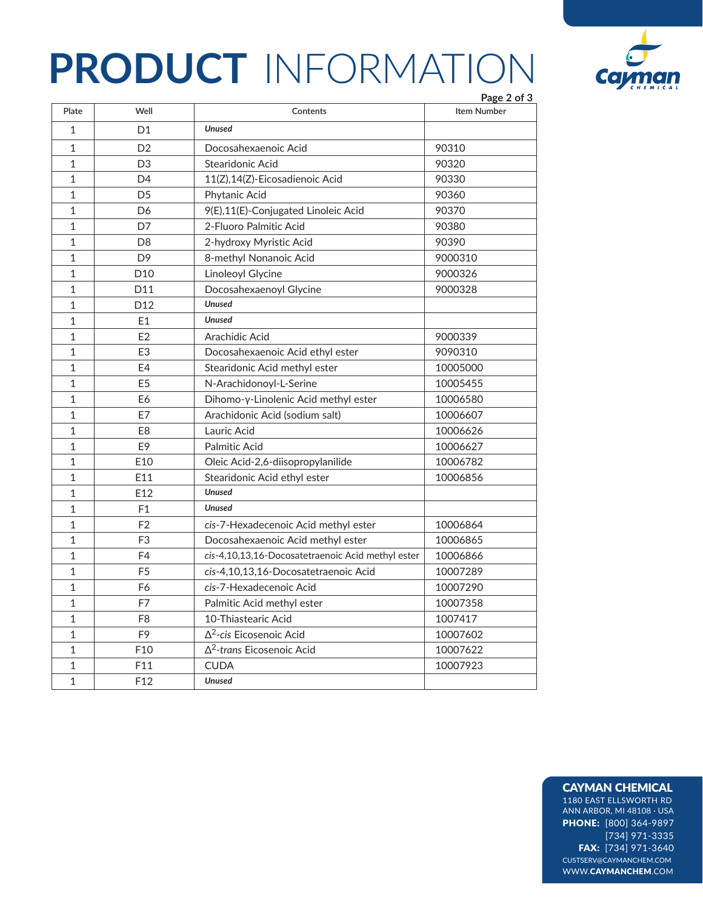# **PRODUCT** INFORMATION



|                |                 |                                                   | Page 2 of 3 |
|----------------|-----------------|---------------------------------------------------|-------------|
| Plate          | Well            | Contents                                          | Item Number |
| 1              | D <sub>1</sub>  | <b>Unused</b>                                     |             |
| $\mathbf{1}$   | D <sub>2</sub>  | Docosahexaenoic Acid                              | 90310       |
| $\mathbf{1}$   | D <sub>3</sub>  | Stearidonic Acid                                  | 90320       |
| $\mathbf{1}$   | D <sub>4</sub>  | 11(Z),14(Z)-Eicosadienoic Acid                    | 90330       |
| 1              | D <sub>5</sub>  | Phytanic Acid                                     | 90360       |
| $\mathbf{1}$   | D <sub>6</sub>  | 9(E),11(E)-Conjugated Linoleic Acid               | 90370       |
| $\overline{1}$ | D7              | 2-Fluoro Palmitic Acid                            | 90380       |
| $\mathbf{1}$   | D <sub>8</sub>  | 2-hydroxy Myristic Acid                           | 90390       |
| $\mathbf{1}$   | D <sub>9</sub>  | 8-methyl Nonanoic Acid                            | 9000310     |
| $\mathbf{1}$   | D <sub>10</sub> | <b>Linoleoyl Glycine</b>                          | 9000326     |
| $\mathbf{1}$   | D11             | Docosahexaenoyl Glycine                           | 9000328     |
| $\mathbf{1}$   | D <sub>12</sub> | <b>Unused</b>                                     |             |
| 1              | E1              | <b>Unused</b>                                     |             |
| 1              | E2              | Arachidic Acid                                    | 9000339     |
| $\mathbf{1}$   | E <sub>3</sub>  | Docosahexaenoic Acid ethyl ester                  | 9090310     |
| $\mathbf{1}$   | E4              | Stearidonic Acid methyl ester                     | 10005000    |
| 1              | E <sub>5</sub>  | N-Arachidonoyl-L-Serine                           | 10005455    |
| 1              | E6              | Dihomo-γ-Linolenic Acid methyl ester              | 10006580    |
| 1              | E7              | Arachidonic Acid (sodium salt)                    | 10006607    |
| $\mathbf{1}$   | E <sub>8</sub>  | Lauric Acid                                       | 10006626    |
| 1              | E <sub>9</sub>  | <b>Palmitic Acid</b>                              | 10006627    |
| 1              | E10             | Oleic Acid-2,6-diisopropylanilide                 | 10006782    |
| $\mathbf{1}$   | E11             | Stearidonic Acid ethyl ester                      | 10006856    |
| 1              | E12             | <b>Unused</b>                                     |             |
| $\mathbf{1}$   | F <sub>1</sub>  | <b>Unused</b>                                     |             |
| 1              | F <sub>2</sub>  | cis-7-Hexadecenoic Acid methyl ester              | 10006864    |
| 1              | F <sub>3</sub>  | Docosahexaenoic Acid methyl ester                 | 10006865    |
| $\mathbf{1}$   | F4              | cis-4,10,13,16-Docosatetraenoic Acid methyl ester | 10006866    |
| 1              | F <sub>5</sub>  | cis-4,10,13,16-Docosatetraenoic Acid              | 10007289    |
| $\mathbf{1}$   | F6              | cis-7-Hexadecenoic Acid                           | 10007290    |
| $\mathbf{1}$   | F7              | Palmitic Acid methyl ester                        | 10007358    |
| $\mathbf{1}$   | F8              | 10-Thiastearic Acid                               | 1007417     |
| $\mathbf{1}$   | F9              | $\Delta^2$ -cis Eicosenoic Acid                   | 10007602    |
| 1              | F10             | $\Delta^2$ -trans Eicosenoic Acid                 | 10007622    |
| $\mathbf{1}$   | F11             | <b>CUDA</b>                                       | 10007923    |
| $\overline{1}$ | F <sub>12</sub> | <b>Unused</b>                                     |             |

#### CAYMAN CHEMICAL

1180 EAST ELLSWORTH RD ANN ARBOR, MI 48108 · USA PHONE: [800] 364-9897 [734] 971-3335 FAX: [734] 971-3640 CUSTSERV@CAYMANCHEM.COM WWW.CAYMANCHEM.COM